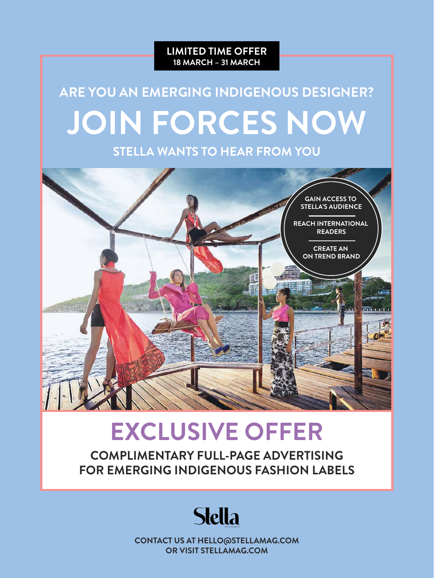

# **ARE YOU AN EMERGING INDIGENOUS DESIGNER? JOIN FORCES NOW**

**STELLA WANTS TO HEAR FROM YOU**



## **EXCLUSIVE OFFER**

**COMPLIMENTARY FULL-PAGE ADVERTISING FOR EMERGING INDIGENOUS FASHION LABELS**



**CONTACT US AT HELLO@STELLAMAG.COM OR VISIT STELLAMAG.COM**